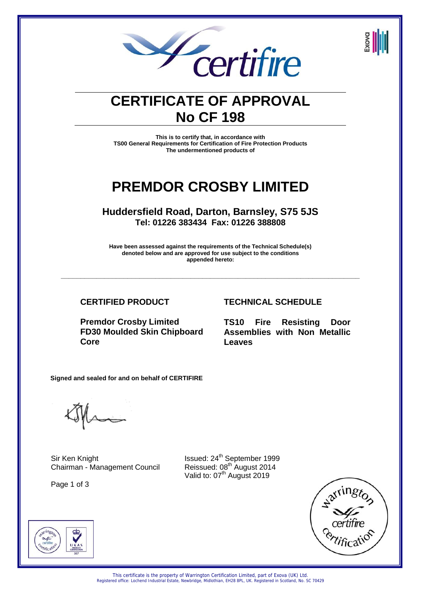

# **CERTIFICATE OF APPROVAL No CF 198**

**This is to certify that, in accordance with TS00 General Requirements for Certification of Fire Protection Products The undermentioned products of** 

# **PREMDOR CROSBY LIMITED**

**Huddersfield Road, Darton, Barnsley, S75 5JS Tel: 01226 383434 Fax: 01226 388808** 

**Have been assessed against the requirements of the Technical Schedule(s) denoted below and are approved for use subject to the conditions appended hereto:** 

**\_\_\_\_\_\_\_\_\_\_\_\_\_\_\_\_\_\_\_\_\_\_\_\_\_\_\_\_\_\_\_\_\_\_\_\_\_\_\_\_\_\_\_\_\_\_\_\_\_\_\_\_\_\_\_\_\_\_\_\_\_\_\_\_\_\_\_\_\_\_\_\_\_\_\_\_** 

**CERTIFIED PRODUCT TECHNICAL SCHEDULE**

**Premdor Crosby Limited FD30 Moulded Skin Chipboard Core**

**TS10 Fire Resisting Door Assemblies with Non Metallic Leaves**

**Signed and sealed for and on behalf of CERTIFIRE** 

Sir Ken Knight **Issued:** 24<sup>th</sup> September 1999 Chairman - Management Council Reissued: 08<sup>th</sup> August 2014

Page 1 of 3

Valid to: 07<sup>th</sup> August 2019



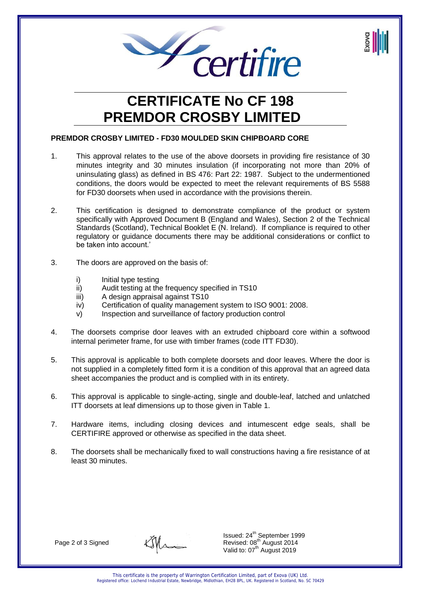

# **CERTIFICATE No CF 198 PREMDOR CROSBY LIMITED**

# **PREMDOR CROSBY LIMITED - FD30 MOULDED SKIN CHIPBOARD CORE**

- 1. This approval relates to the use of the above doorsets in providing fire resistance of 30 minutes integrity and 30 minutes insulation (if incorporating not more than 20% of uninsulating glass) as defined in BS 476: Part 22: 1987. Subject to the undermentioned conditions, the doors would be expected to meet the relevant requirements of BS 5588 for FD30 doorsets when used in accordance with the provisions therein.
- 2. This certification is designed to demonstrate compliance of the product or system specifically with Approved Document B (England and Wales), Section 2 of the Technical Standards (Scotland), Technical Booklet E (N. Ireland). If compliance is required to other regulatory or guidance documents there may be additional considerations or conflict to be taken into account.'
- 3. The doors are approved on the basis of:
	- i) Initial type testing
	- ii) Audit testing at the frequency specified in TS10
	- iii) A design appraisal against TS10
	- iv) Certification of quality management system to ISO 9001: 2008.
	- v) Inspection and surveillance of factory production control
- 4. The doorsets comprise door leaves with an extruded chipboard core within a softwood internal perimeter frame, for use with timber frames (code ITT FD30).
- 5. This approval is applicable to both complete doorsets and door leaves. Where the door is not supplied in a completely fitted form it is a condition of this approval that an agreed data sheet accompanies the product and is complied with in its entirety.
- 6. This approval is applicable to single-acting, single and double-leaf, latched and unlatched ITT doorsets at leaf dimensions up to those given in Table 1.
- 7. Hardware items, including closing devices and intumescent edge seals, shall be CERTIFIRE approved or otherwise as specified in the data sheet.
- 8. The doorsets shall be mechanically fixed to wall constructions having a fire resistance of at least 30 minutes.

Page 2 of 3 Signed

Issued: 24<sup>th</sup> September 1999 Revised: 08<sup>th</sup> August 2014 Valid to: 07<sup>th</sup> August 2019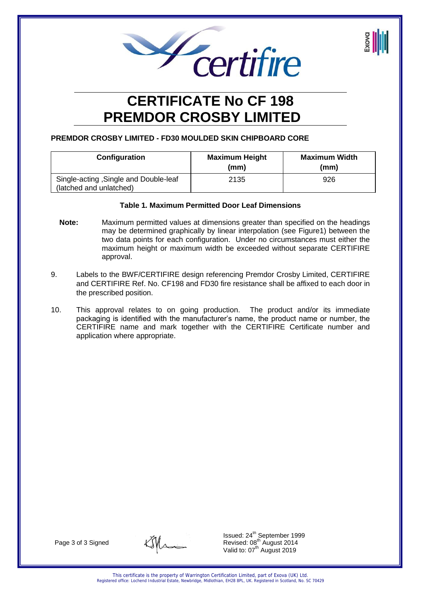

# **CERTIFICATE No CF 198 PREMDOR CROSBY LIMITED**

# **PREMDOR CROSBY LIMITED - FD30 MOULDED SKIN CHIPBOARD CORE**

| Configuration                                                    | <b>Maximum Height</b><br>(mm) | <b>Maximum Width</b><br>(mm) |
|------------------------------------------------------------------|-------------------------------|------------------------------|
| Single-acting, Single and Double-leaf<br>(latched and unlatched) | 2135                          | 926                          |

## **Table 1***.* **Maximum Permitted Door Leaf Dimensions**

- **Note:** Maximum permitted values at dimensions greater than specified on the headings may be determined graphically by linear interpolation (see Figure1) between the two data points for each configuration. Under no circumstances must either the maximum height or maximum width be exceeded without separate CERTIFIRE approval.
- 9. Labels to the BWF/CERTIFIRE design referencing Premdor Crosby Limited, CERTIFIRE and CERTIFIRE Ref. No. CF198 and FD30 fire resistance shall be affixed to each door in the prescribed position.
- 10. This approval relates to on going production. The product and/or its immediate packaging is identified with the manufacturer's name, the product name or number, the CERTIFIRE name and mark together with the CERTIFIRE Certificate number and application where appropriate.

Page 3 of 3 Signed

Issued: 24<sup>th</sup> September 1999 Revised: 08<sup>th</sup> August 2014 Valid to: 07<sup>th</sup> August 2019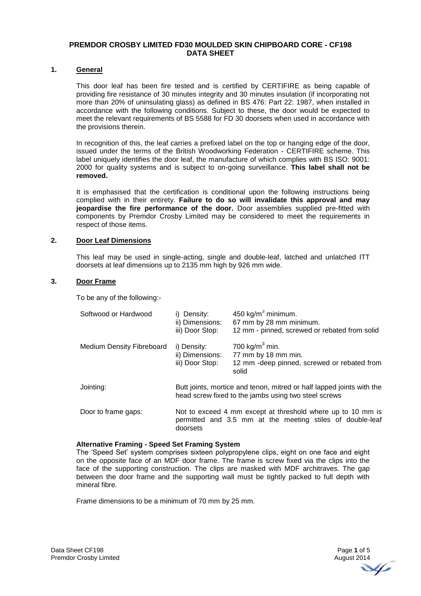### **PREMDOR CROSBY LIMITED FD30 MOULDED SKIN CHIPBOARD CORE - CF198 DATA SHEET**

#### **1. General**

This door leaf has been fire tested and is certified by CERTIFIRE as being capable of providing fire resistance of 30 minutes integrity and 30 minutes insulation (if incorporating not more than 20% of uninsulating glass) as defined in BS 476: Part 22: 1987, when installed in accordance with the following conditions. Subject to these, the door would be expected to meet the relevant requirements of BS 5588 for FD 30 doorsets when used in accordance with the provisions therein.

In recognition of this, the leaf carries a prefixed label on the top or hanging edge of the door, issued under the terms of the British Woodworking Federation - CERTIFIRE scheme. This label uniquely identifies the door leaf, the manufacture of which complies with BS ISO: 9001: 2000 for quality systems and is subject to on-going surveillance. **This label shall not be removed.**

It is emphasised that the certification is conditional upon the following instructions being complied with in their entirety. **Failure to do so will invalidate this approval and may jeopardise the fire performance of the door.** Door assemblies supplied pre-fitted with components by Premdor Crosby Limited may be considered to meet the requirements in respect of those items.

#### **2. Door Leaf Dimensions**

This leaf may be used in single-acting, single and double-leaf, latched and unlatched ITT doorsets at leaf dimensions up to 2135 mm high by 926 mm wide.

#### **3. Door Frame**

To be any of the following:-

| Softwood or Hardwood             | i) Density:<br>ii) Dimensions:<br>iii) Door Stop: | 450 kg/ $m^3$ minimum.<br>67 mm by 28 mm minimum.<br>12 mm - pinned, screwed or rebated from solid                            |
|----------------------------------|---------------------------------------------------|-------------------------------------------------------------------------------------------------------------------------------|
| <b>Medium Density Fibreboard</b> | i) Density:<br>ii) Dimensions:<br>iii) Door Stop: | 700 kg/m <sup>3</sup> min.<br>77 mm by 18 mm min.<br>12 mm - deep pinned, screwed or rebated from<br>solid                    |
| Jointing:                        |                                                   | Butt joints, mortice and tenon, mitred or half lapped joints with the<br>head screw fixed to the jambs using two steel screws |
| Door to frame gaps:              | doorsets                                          | Not to exceed 4 mm except at threshold where up to 10 mm is<br>permitted and 3.5 mm at the meeting stiles of double-leaf      |

#### **Alternative Framing - Speed Set Framing System**

The 'Speed Set' system comprises sixteen polypropylene clips, eight on one face and eight on the opposite face of an MDF door frame. The frame is screw fixed via the clips into the face of the supporting construction. The clips are masked with MDF architraves. The gap between the door frame and the supporting wall must be tightly packed to full depth with mineral fibre.

Frame dimensions to be a minimum of 70 mm by 25 mm.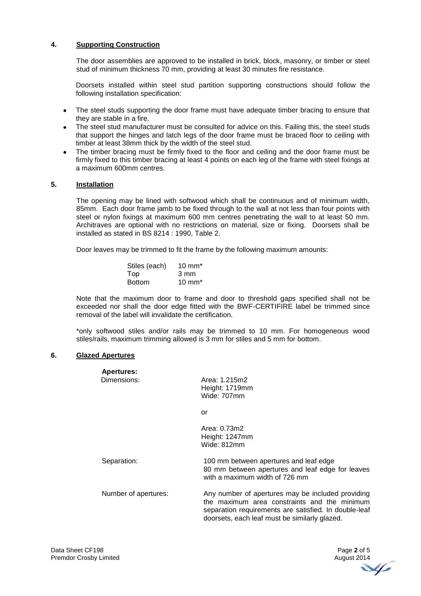# **4. Supporting Construction**

 The door assemblies are approved to be installed in brick, block, masonry, or timber or steel stud of minimum thickness 70 mm, providing at least 30 minutes fire resistance.

Doorsets installed within steel stud partition supporting constructions should follow the following installation specification:

- The steel studs supporting the door frame must have adequate timber bracing to ensure that they are stable in a fire.
- The steel stud manufacturer must be consulted for advice on this. Failing this, the steel studs that support the hinges and latch legs of the door frame must be braced floor to ceiling with timber at least 38mm thick by the width of the steel stud.
- The timber bracing must be firmly fixed to the floor and ceiling and the door frame must be firmly fixed to this timber bracing at least 4 points on each leg of the frame with steel fixings at a maximum 600mm centres.

## **5. Installation**

 The opening may be lined with softwood which shall be continuous and of minimum width, 85mm. Each door frame jamb to be fixed through to the wall at not less than four points with steel or nylon fixings at maximum 600 mm centres penetrating the wall to at least 50 mm. Architraves are optional with no restrictions on material, size or fixing. Doorsets shall be installed as stated in BS 8214 : 1990, Table 2.

Door leaves may be trimmed to fit the frame by the following maximum amounts:

| Stiles (each) | $10 \text{ mm}^*$ |
|---------------|-------------------|
| Top           | 3 mm              |
| <b>Bottom</b> | $10 \text{ mm}^*$ |

 Note that the maximum door to frame and door to threshold gaps specified shall not be exceeded nor shall the door edge fitted with the BWF-CERTIFIRE label be trimmed since removal of the label will invalidate the certification.

 \*only softwood stiles and/or rails may be trimmed to 10 mm. For homogeneous wood stiles/rails, maximum trimming allowed is 3 mm for stiles and 5 mm for bottom.

#### **6. Glazed Apertures**

| <b>Apertures:</b>    |                                                                                                                                                                                                             |
|----------------------|-------------------------------------------------------------------------------------------------------------------------------------------------------------------------------------------------------------|
| Dimensions:          | Area: 1.215m2<br>Height: 1719mm<br>Wide: 707mm                                                                                                                                                              |
|                      | or                                                                                                                                                                                                          |
|                      | Area: 0.73m2<br>Height: 1247mm<br>Wide: 812mm                                                                                                                                                               |
| Separation:          | 100 mm between apertures and leaf edge<br>80 mm between apertures and leaf edge for leaves<br>with a maximum width of 726 mm                                                                                |
| Number of apertures: | Any number of apertures may be included providing<br>the maximum area constraints and the minimum<br>separation requirements are satisfied. In double-leaf<br>doorsets, each leaf must be similarly glazed. |
|                      |                                                                                                                                                                                                             |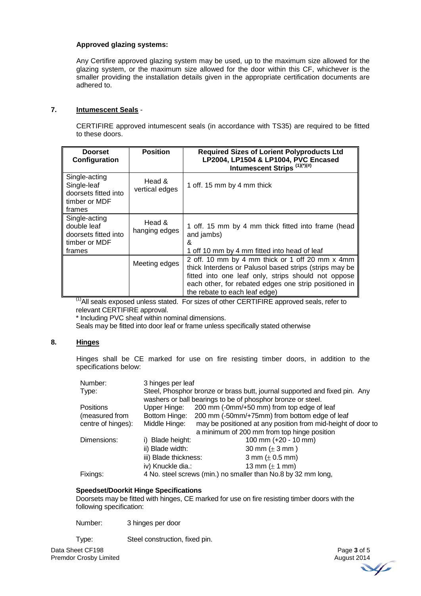## **Approved glazing systems:**

Any Certifire approved glazing system may be used, up to the maximum size allowed for the glazing system, or the maximum size allowed for the door within this CF, whichever is the smaller providing the installation details given in the appropriate certification documents are adhered to.

# **7. Intumescent Seals** -

CERTIFIRE approved intumescent seals (in accordance with TS35) are required to be fitted to these doors.

| <b>Doorset</b><br>Configuration                                                 | <b>Position</b>          | <b>Required Sizes of Lorient Polyproducts Ltd</b><br>LP2004, LP1504 & LP1004, PVC Encased<br>Intumescent Strips (1)(*)(#)                                                                                                                                  |
|---------------------------------------------------------------------------------|--------------------------|------------------------------------------------------------------------------------------------------------------------------------------------------------------------------------------------------------------------------------------------------------|
| Single-acting<br>Single-leaf<br>doorsets fitted into<br>timber or MDF<br>frames | Head &<br>vertical edges | 1 off. 15 mm by 4 mm thick                                                                                                                                                                                                                                 |
| Single-acting<br>double leaf<br>doorsets fitted into<br>timber or MDF<br>frames | Head &<br>hanging edges  | 1 off. 15 mm by 4 mm thick fitted into frame (head<br>and jambs)<br>&<br>1 off 10 mm by 4 mm fitted into head of leaf                                                                                                                                      |
|                                                                                 | Meeting edges            | 2 off. 10 mm by 4 mm thick or 1 off 20 mm x 4mm<br>thick Interdens or Palusol based strips (strips may be<br>fitted into one leaf only, strips should not oppose<br>each other, for rebated edges one strip positioned in<br>the rebate to each leaf edge) |

(1)All seals exposed unless stated. For sizes of other CERTIFIRE approved seals, refer to relevant CERTIFIRE approval.

\* Including PVC sheaf within nominal dimensions.

Seals may be fitted into door leaf or frame unless specifically stated otherwise

## **8. Hinges**

Hinges shall be CE marked for use on fire resisting timber doors, in addition to the specifications below:

| Number:            | 3 hinges per leaf                                                          |                                                               |
|--------------------|----------------------------------------------------------------------------|---------------------------------------------------------------|
| Type:              | Steel, Phosphor bronze or brass butt, journal supported and fixed pin. Any |                                                               |
|                    |                                                                            | washers or ball bearings to be of phosphor bronze or steel.   |
| <b>Positions</b>   | Upper Hinge:                                                               | 200 mm (-0mm/+50 mm) from top edge of leaf                    |
| (measured from     | Bottom Hinge:                                                              | 200 mm (-50mm/+75mm) from bottom edge of leaf                 |
| centre of hinges): | Middle Hinge:                                                              | may be positioned at any position from mid-height of door to  |
|                    |                                                                            | a minimum of 200 mm from top hinge position                   |
| Dimensions:        | i) Blade height:                                                           | 100 mm (+20 - 10 mm)                                          |
|                    | ii) Blade width:                                                           | 30 mm $(\pm 3$ mm)                                            |
|                    | iii) Blade thickness:                                                      | 3 mm ( $\pm$ 0.5 mm)                                          |
|                    | iv) Knuckle dia.:                                                          | 13 mm $(\pm 1$ mm)                                            |
| Fixings:           |                                                                            | 4 No. steel screws (min.) no smaller than No.8 by 32 mm long, |

## **Speedset/Doorkit Hinge Specifications**

Doorsets may be fitted with hinges, CE marked for use on fire resisting timber doors with the following specification:

Number: 3 hinges per door

Type: Steel construction, fixed pin.

Data Sheet CF198 Premdor Crosby Limited

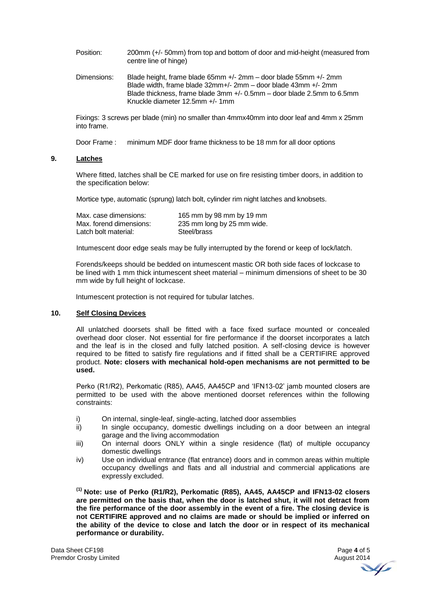Position: 200mm (+/- 50mm) from top and bottom of door and mid-height (measured from centre line of hinge)

Dimensions: Blade height, frame blade 65mm +/- 2mm – door blade 55mm +/- 2mm Blade width, frame blade 32mm+/- 2mm – door blade 43mm +/- 2mm Blade thickness, frame blade 3mm +/- 0.5mm – door blade 2.5mm to 6.5mm Knuckle diameter 12.5mm +/- 1mm

Fixings: 3 screws per blade (min) no smaller than 4mmx40mm into door leaf and 4mm x 25mm into frame.

Door Frame : minimum MDF door frame thickness to be 18 mm for all door options

#### **9. Latches**

Where fitted, latches shall be CE marked for use on fire resisting timber doors, in addition to the specification below:

Mortice type, automatic (sprung) latch bolt, cylinder rim night latches and knobsets.

| Max. case dimensions:   | 165 mm by 98 mm by 19 mm   |
|-------------------------|----------------------------|
| Max. forend dimensions: | 235 mm long by 25 mm wide. |
| Latch bolt material:    | Steel/brass                |

Intumescent door edge seals may be fully interrupted by the forend or keep of lock/latch.

Forends/keeps should be bedded on intumescent mastic OR both side faces of lockcase to be lined with 1 mm thick intumescent sheet material – minimum dimensions of sheet to be 30 mm wide by full height of lockcase.

Intumescent protection is not required for tubular latches.

# **10. Self Closing Devices**

All unlatched doorsets shall be fitted with a face fixed surface mounted or concealed overhead door closer. Not essential for fire performance if the doorset incorporates a latch and the leaf is in the closed and fully latched position. A self-closing device is however required to be fitted to satisfy fire regulations and if fitted shall be a CERTIFIRE approved product. **Note: closers with mechanical hold-open mechanisms are not permitted to be used.** 

Perko (R1/R2), Perkomatic (R85), AA45, AA45CP and 'IFN13-02' jamb mounted closers are permitted to be used with the above mentioned doorset references within the following constraints:

- i) On internal, single-leaf, single-acting, latched door assemblies
- ii) In single occupancy, domestic dwellings including on a door between an integral garage and the living accommodation
- iii) On internal doors ONLY within a single residence (flat) of multiple occupancy domestic dwellings
- iv) Use on individual entrance (flat entrance) doors and in common areas within multiple occupancy dwellings and flats and all industrial and commercial applications are expressly excluded.

**(1) Note: use of Perko (R1/R2), Perkomatic (R85), AA45, AA45CP and IFN13-02 closers are permitted on the basis that, when the door is latched shut, it will not detract from the fire performance of the door assembly in the event of a fire. The closing device is not CERTIFIRE approved and no claims are made or should be implied or inferred on the ability of the device to close and latch the door or in respect of its mechanical performance or durability.**